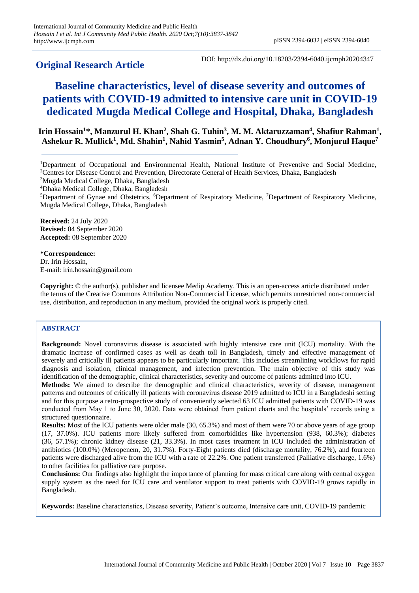# **Original Research Article**

DOI: http://dx.doi.org/10.18203/2394-6040.ijcmph20204347

# **Baseline characteristics, level of disease severity and outcomes of patients with COVID-19 admitted to intensive care unit in COVID-19 dedicated Mugda Medical College and Hospital, Dhaka, Bangladesh**

# **Irin Hossain<sup>1</sup>\*, Manzurul H. Khan<sup>2</sup> , Shah G. Tuhin<sup>3</sup> , M. M. Aktaruzzaman<sup>4</sup> , Shafiur Rahman<sup>1</sup> , Ashekur R. Mullick<sup>1</sup> , Md. Shahin<sup>1</sup> , Nahid Yasmin<sup>5</sup> , Adnan Y. Choudhury<sup>6</sup> , Monjurul Haque<sup>7</sup>**

<sup>3</sup>Mugda Medical College, Dhaka, Bangladesh

<sup>4</sup>Dhaka Medical College, Dhaka, Bangladesh

<sup>5</sup>Department of Gynae and Obstetrics, <sup>6</sup>Department of Respiratory Medicine, <sup>7</sup>Department of Respiratory Medicine, Mugda Medical College, Dhaka, Bangladesh

**Received:** 24 July 2020 **Revised:** 04 September 2020 **Accepted:** 08 September 2020

# **\*Correspondence:**

Dr. Irin Hossain, E-mail: irin.hossain@gmail.com

**Copyright:** © the author(s), publisher and licensee Medip Academy. This is an open-access article distributed under the terms of the Creative Commons Attribution Non-Commercial License, which permits unrestricted non-commercial use, distribution, and reproduction in any medium, provided the original work is properly cited.

# **ABSTRACT**

**Background:** Novel coronavirus disease is associated with highly intensive care unit (ICU) mortality. With the dramatic increase of confirmed cases as well as death toll in Bangladesh, timely and effective management of severely and critically ill patients appears to be particularly important. This includes streamlining workflows for rapid diagnosis and isolation, clinical management, and infection prevention. The main objective of this study was identification of the demographic, clinical characteristics, severity and outcome of patients admitted into ICU.

**Methods:** We aimed to describe the demographic and clinical characteristics, severity of disease, management patterns and outcomes of critically ill patients with coronavirus disease 2019 admitted to ICU in a Bangladeshi setting and for this purpose a retro-prospective study of conveniently selected 63 ICU admitted patients with COVID-19 was conducted from May 1 to June 30, 2020. Data were obtained from patient charts and the hospitals' records using a structured questionnaire.

**Results:** Most of the ICU patients were older male (30, 65.3%) and most of them were 70 or above years of age group (17, 37.0%). ICU patients more likely suffered from comorbidities like hypertension (938, 60.3%); diabetes (36, 57.1%); chronic kidney disease (21, 33.3%). In most cases treatment in ICU included the administration of antibiotics (100.0%) (Meropenem, 20, 31.7%). Forty-Eight patients died (discharge mortality, 76.2%), and fourteen patients were discharged alive from the ICU with a rate of 22.2%. One patient transferred (Palliative discharge, 1.6%) to other facilities for palliative care purpose.

**Conclusions:** Our findings also highlight the importance of planning for mass critical care along with central oxygen supply system as the need for ICU care and ventilator support to treat patients with COVID-19 grows rapidly in Bangladesh.

**Keywords:** Baseline characteristics, Disease severity, Patient's outcome, Intensive care unit, COVID-19 pandemic

<sup>1</sup>Department of Occupational and Environmental Health, National Institute of Preventive and Social Medicine, <sup>2</sup>Centres for Disease Control and Prevention, Directorate General of Health Services, Dhaka, Bangladesh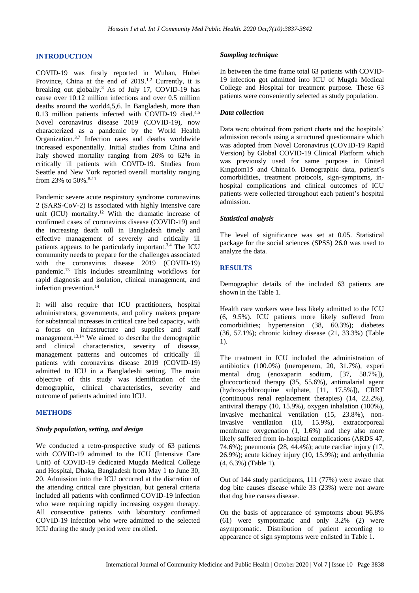#### **INTRODUCTION**

COVID-19 was firstly reported in Wuhan, Hubei Province, China at the end of  $2019$ .<sup>1,2</sup> Currently, it is breaking out globally. <sup>3</sup> As of July 17, COVID-19 has cause over 10.12 million infections and over 0.5 million deaths around the world4,5,6. In Bangladesh, more than 0.13 million patients infected with COVID-19 died.<sup>4,5</sup> Novel coronavirus disease 2019 (COVID-19), now characterized as a pandemic by the World Health Organization.<sup>3,7</sup> Infection rates and deaths worldwide increased exponentially. Initial studies from China and Italy showed mortality ranging from 26% to 62% in critically ill patients with COVID-19. Studies from Seattle and New York reported overall mortality ranging from 23% to 50%.<sup>8-11</sup>

Pandemic severe acute respiratory syndrome coronavirus 2 (SARS-CoV-2) is associated with highly intensive care unit (ICU) mortality.<sup>12</sup> With the dramatic increase of confirmed cases of coronavirus disease (COVID-19) and the increasing death toll in Bangladesh timely and effective management of severely and critically ill patients appears to be particularly important.3,4 The ICU community needs to prepare for the challenges associated with the coronavirus disease 2019 (COVID-19) pandemic. <sup>13</sup> This includes streamlining workflows for rapid diagnosis and isolation, clinical management, and infection prevention. 14

It will also require that ICU practitioners, hospital administrators, governments, and policy makers prepare for substantial increases in critical care bed capacity, with a focus on infrastructure and supplies and staff management. 13,14 We aimed to describe the demographic and clinical characteristics, severity of disease, management patterns and outcomes of critically ill patients with coronavirus disease 2019 (COVID-19) admitted to ICU in a Bangladeshi setting. The main objective of this study was identification of the demographic, clinical characteristics, severity and outcome of patients admitted into ICU.

#### **METHODS**

#### *Study population, setting, and design*

We conducted a retro-prospective study of 63 patients with COVID-19 admitted to the ICU (Intensive Care Unit) of COVID-19 dedicated Mugda Medical College and Hospital, Dhaka, Bangladesh from May 1 to June 30, 20. Admission into the ICU occurred at the discretion of the attending critical care physician, but general criteria included all patients with confirmed COVID-19 infection who were requiring rapidly increasing oxygen therapy. All consecutive patients with laboratory confirmed COVID-19 infection who were admitted to the selected ICU during the study period were enrolled.

#### *Sampling technique*

In between the time frame total 63 patients with COVID-19 infection got admitted into ICU of Mugda Medical College and Hospital for treatment purpose. These 63 patients were conveniently selected as study population.

#### *Data collection*

Data were obtained from patient charts and the hospitals' admission records using a structured questionnaire which was adopted from Novel Coronavirus (COVID-19 Rapid Version) by Global COVID-19 Clinical Platform which was previously used for same purpose in United Kingdom15 and China16. Demographic data, patient's comorbidities, treatment protocols, sign-symptoms, inhospital complications and clinical outcomes of ICU patients were collected throughout each patient's hospital admission.

#### *Statistical analysis*

The level of significance was set at 0.05. Statistical package for the social sciences (SPSS) 26.0 was used to analyze the data.

#### **RESULTS**

Demographic details of the included 63 patients are shown in the Table 1.

Health care workers were less likely admitted to the ICU (6, 9.5%). ICU patients more likely suffered from comorbidities; hypertension (38, 60.3%); diabetes (36, 57.1%); chronic kidney disease (21, 33.3%) (Table 1).

The treatment in ICU included the administration of antibiotics (100.0%) (meropenem, 20, 31.7%), experi mental drug (enoxaparin sodium, [37, 58.7%]), glucocorticoid therapy (35, 55.6%), antimalarial agent (hydroxychloroquine sulphate, [11, 17.5%]), CRRT (continuous renal replacement therapies) (14, 22.2%), antiviral therapy (10, 15.9%), oxygen inhalation (100%), invasive mechanical ventilation (15, 23.8%), noninvasive ventilation (10, 15.9%), extracorporeal membrane oxygenation (1, 1.6%) and they also more likely suffered from in-hospital complications (ARDS 47, 74.6%); pneumonia (28, 44.4%); acute cardiac injury (17, 26.9%); acute kidney injury (10, 15.9%); and arrhythmia (4, 6.3%) (Table 1).

Out of 144 study participants, 111 (77%) were aware that dog bite causes disease while 33 (23%) were not aware that dog bite causes disease.

On the basis of appearance of symptoms about 96.8% (61) were symptomatic and only 3.2% (2) were asymptomatic. Distribution of patient according to appearance of sign symptoms were enlisted in Table 1.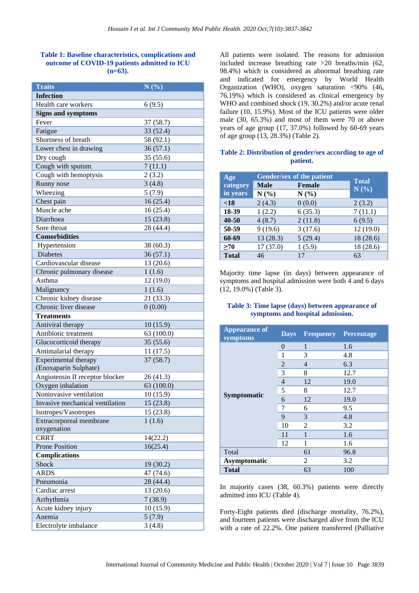#### **Table 1: Baseline characteristics, complications and outcome of COVID-19 patients admitted to ICU (n=63).**

| <b>Traits</b>                   | N(%)       |
|---------------------------------|------------|
| <b>Infection</b>                |            |
| Health care workers             | 6(9.5)     |
| <b>Signs and symptoms</b>       |            |
| Fever                           | 37(58.7)   |
| Fatigue                         | 33(52.4)   |
| Shortness of breath             | 58 (92.1)  |
| Lower chest in drawing          | 36(57.1)   |
| Dry cough                       | 35 (55.6)  |
| Cough with sputum               | 7(11.1)    |
| Cough with hemoptysis           | 2(3.2)     |
| Runny nose                      | 3(4.8)     |
| Wheezing                        | 5(7.9)     |
| Chest pain                      | 16(25.4)   |
| Muscle ache                     | 16(25.4)   |
| Diarrhoea                       | 15(23.8)   |
| Sore throat                     | 28 (44.4)  |
| <b>Comorbidities</b>            |            |
| Hypertension                    | 38 (60.3)  |
| <b>Diabetes</b>                 | 36(57.1)   |
| Cardiovascular disease          | 13 (20.6)  |
| Chronic pulmonary disease       | 1(1.6)     |
| Asthma                          | 12 (19.0)  |
| Malignancy                      | 1(1.6)     |
| Chronic kidney disease          | 21 (33.3)  |
| Chronic liver disease           | 0(0.00)    |
| <b>Treatments</b>               |            |
| Antiviral therapy               | 10(15.9)   |
| Antibiotic treatment            | 63 (100.0) |
| Glucocorticoid therapy          | 35(55.6)   |
| Antimalarial therapy            | 11(17.5)   |
| Experimental therapy            | 37(58.7)   |
| (Enoxaparin Sulphate)           |            |
| Angiotensin II receptor blocker | 26 (41.3)  |
| Oxygen inhalation               | 63 (100.0) |
| Noninvasive ventilation         | 10(15.9)   |
| Invasive mechanical ventilation | 15(23.8)   |
| Isotropes/Vasotropes            | 15 (23.8)  |
| Extracorporeal membrane         | 1(1.6)     |
| oxygenation                     |            |
| <b>CRRT</b>                     | 14(22.2)   |
| <b>Prone Position</b>           | 16(25.4)   |
| <b>Complications</b>            |            |
| Shock                           | 19 (30.2)  |
| <b>ARDS</b>                     | 47 (74.6)  |
| Pneumonia                       | 28 (44.4)  |
| Cardiac arrest                  | 13 (20.6)  |
| Arrhythmia                      | 7(38.9)    |
| Acute kidney injury             | 10(15.9)   |
| Anemia                          | 5(7.9)     |
| Electrolyte imbalance           | 3(4.8)     |

All patients were isolated. The reasons for admission included increase breathing rate >20 breaths/min (62, 98.4%) which is considered as abnormal breathing rate and indicated for emergency by World Health Organization (WHO), oxygen saturation <90% (46, 76.19%) which is considered as clinical emergency by WHO and combined shock (19, 30.2%) and/or acute renal failure (10, 15.9%). Most of the ICU patients were older male (30, 65.3%) and most of them were 70 or above years of age group (17, 37.0%) followed by 60-69 years of age group (13, 28.3%) (Table 2).

# **Table 2: Distribution of gender/sex according to age of patient.**

| Age          |             | <b>Gender/sex of the patient</b> |                      |
|--------------|-------------|----------------------------------|----------------------|
| category     | <b>Male</b> | <b>Female</b>                    | <b>Total</b><br>N(%) |
| in years     | N(%)        | N(%)                             |                      |
| < 18         | 2(4.3)      | 0(0.0)                           | 2(3.2)               |
| 18-39        | 1(2.2)      | 6(35.3)                          | 7(11.1)              |
| 40-50        | 4(8.7)      | 2(11.8)                          | 6(9.5)               |
| 50-59        | 9(19.6)     | 3(17.6)                          | 12(19.0)             |
| 60-69        | 13(28.3)    | 5(29.4)                          | 18 (28.6)            |
| >70          | 17(37.0)    | 1(5.9)                           | 18 (28.6)            |
| <b>Total</b> | 46          | 17                               | 63                   |

Majority time lapse (in days) between appearance of symptoms and hospital admission were both 4 and 6 days (12, 19.0%) (Table 3).

# **Table 3: Time lapse (days) between appearance of symptoms and hospital admission.**

| <b>Appearance of</b><br>symptoms | <b>Days</b>    |                | <b>Frequency Percentage</b> |
|----------------------------------|----------------|----------------|-----------------------------|
| Symptomatic                      | 0              | $\mathbf{1}$   | 1.6                         |
|                                  | 1              | 3              | 4.8                         |
|                                  | 2              | $\overline{4}$ | 6.3                         |
|                                  | 3              | 8              | 12.7                        |
|                                  | $\overline{4}$ | 12             | 19.0                        |
|                                  | 5              | 8              | 12.7                        |
|                                  | 6              | 12             | 19.0                        |
|                                  | 7              | 6              | 9.5                         |
|                                  | 9              | 3              | 4.8                         |
|                                  | 10             | 2              | 3.2                         |
|                                  | 11             | 1              | 1.6                         |
|                                  | 12             | 1              | 1.6                         |
| Total                            |                | 61             | 96.8                        |
| <b>Asymptomatic</b>              |                | 2              | 3.2                         |
| <b>Total</b>                     |                | 63             | 100                         |

In majority cases (38, 60.3%) patients were directly admitted into ICU (Table 4).

Forty-Eight patients died (discharge mortality, 76.2%), and fourteen patients were discharged alive from the ICU with a rate of 22.2%. One patient transferred (Palliative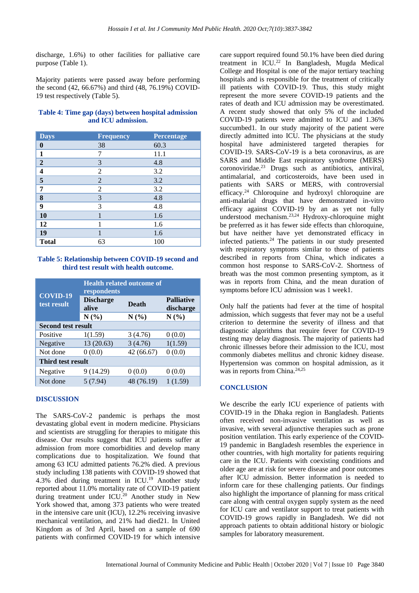discharge, 1.6%) to other facilities for palliative care purpose (Table 1).

Majority patients were passed away before performing the second (42, 66.67%) and third (48, 76.19%) COVID-19 test respectively (Table 5).

#### **Table 4: Time gap (days) between hospital admission and ICU admission.**

| <b>Days</b>             | <b>Frequency</b> | Percentage |
|-------------------------|------------------|------------|
| $\boldsymbol{0}$        | 38               | 60.3       |
| $\mathbf{1}$            | 7                | 11.1       |
| $\mathbf{2}$            | 3                | 4.8        |
| $\overline{\mathbf{4}}$ | $\overline{2}$   | 3.2        |
| 5                       | $\overline{2}$   | 3.2        |
| 7                       | $\overline{2}$   | 3.2        |
| 8                       | 3                | 4.8        |
| 9                       | 3                | 4.8        |
| 10                      | 1                | 1.6        |
| 12                      | 1                | 1.6        |
| 19                      |                  | 1.6        |
| <b>Total</b>            | 63               | 100        |

# **Table 5: Relationship between COVID-19 second and third test result with health outcome.**

|                            | <b>Health related outcome of</b><br>respondents |              |                                |  |
|----------------------------|-------------------------------------------------|--------------|--------------------------------|--|
| $COV$ ID-19<br>test result | <b>Discharge</b><br>alive                       | <b>Death</b> | <b>Palliative</b><br>discharge |  |
|                            | N(%)                                            | N(%)         | N(%)                           |  |
| <b>Second test result</b>  |                                                 |              |                                |  |
| Positive                   | 1(1.59)                                         | 3(4.76)      | 0(0.0)                         |  |
| Negative                   | 13(20.63)                                       | 3(4.76)      | 1(1.59)                        |  |
| Not done                   | 0(0.0)                                          | 42 (66.67)   | 0(0.0)                         |  |
| Third test result          |                                                 |              |                                |  |
| Negative                   | 9 (14.29)                                       | 0(0.0)       | 0(0.0)                         |  |
| Not done                   | 5(7.94)                                         | 48 (76.19)   | 1(1.59)                        |  |

## **DISCUSSION**

The SARS-CoV-2 pandemic is perhaps the most devastating global event in modern medicine. Physicians and scientists are struggling for therapies to mitigate this disease. Our results suggest that ICU patients suffer at admission from more comorbidities and develop many complications due to hospitalization. We found that among 63 ICU admitted patients 76.2% died. A previous study including 138 patients with COVID-19 showed that 4.3% died during treatment in ICU.<sup>19</sup> Another study reported about 11.0% mortality rate of COVID-19 patient during treatment under ICU.<sup>20</sup> Another study in New York showed that, among 373 patients who were treated in the intensive care unit (ICU), 12.2% receiving invasive mechanical ventilation, and 21% had died21. In United Kingdom as of 3rd April, based on a sample of 690 patients with confirmed COVID-19 for which intensive

care support required found 50.1% have been died during treatment in ICU.<sup>22</sup> In Bangladesh, Mugda Medical College and Hospital is one of the major tertiary teaching hospitals and is responsible for the treatment of critically ill patients with COVID-19. Thus, this study might represent the more severe COVID-19 patients and the rates of death and ICU admission may be overestimated. A recent study showed that only 5% of the included COVID-19 patients were admitted to ICU and 1.36% succumbed1. In our study majority of the patient were directly admitted into ICU. The physicians at the study hospital have administered targeted therapies for COVID-19. SARS-CoV-19 is a beta coronavirus, as are SARS and Middle East respiratory syndrome (MERS) coronoviridae. <sup>23</sup> Drugs such as antibiotics, antiviral, antimalarial, and corticosteroids, have been used in patients with SARS or MERS, with controversial efficacy.<sup>24</sup> Chloroquine and hydroxyl chloroquine are anti-malarial drugs that have demonstrated in-vitro efficacy against COVID-19 by an as yet not fully understood mechanism. 23,24 Hydroxy-chloroquine might be preferred as it has fewer side effects than chloroquine, but have neither have yet demonstrated efficacy in infected patients. $24$  The patients in our study presented with respiratory symptoms similar to those of patients described in reports from China, which indicates a common host response to SARS-CoV-2. Shortness of breath was the most common presenting symptom, as it was in reports from China, and the mean duration of symptoms before ICU admission was 1 week1.

Only half the patients had fever at the time of hospital admission, which suggests that fever may not be a useful criterion to determine the severity of illness and that diagnostic algorithms that require fever for COVID-19 testing may delay diagnosis. The majority of patients had chronic illnesses before their admission to the ICU, most commonly diabetes mellitus and chronic kidney disease. Hypertension was common on hospital admission, as it was in reports from China. 24,25

#### **CONCLUSION**

We describe the early ICU experience of patients with COVID-19 in the Dhaka region in Bangladesh. Patients often received non-invasive ventilation as well as invasive, with several adjunctive therapies such as prone position ventilation. This early experience of the COVID-19 pandemic in Bangladesh resembles the experience in other countries, with high mortality for patients requiring care in the ICU. Patients with coexisting conditions and older age are at risk for severe disease and poor outcomes after ICU admission. Better information is needed to inform care for these challenging patients. Our findings also highlight the importance of planning for mass critical care along with central oxygen supply system as the need for ICU care and ventilator support to treat patients with COVID-19 grows rapidly in Bangladesh. We did not approach patients to obtain additional history or biologic samples for laboratory measurement.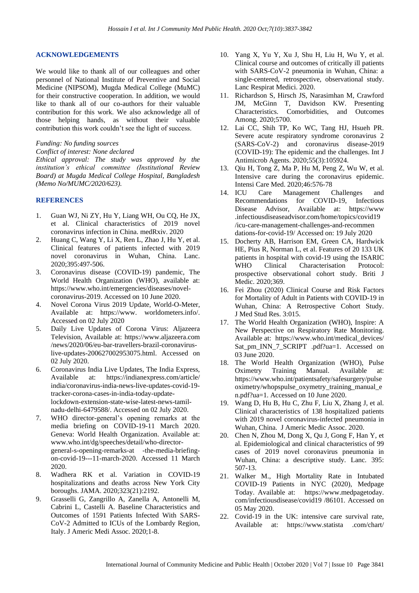#### **ACKNOWLEDGEMENTS**

We would like to thank all of our colleagues and other personnel of National Institute of Preventive and Social Medicine (NIPSOM), Mugda Medical College (MuMC) for their constructive cooperation. In addition, we would like to thank all of our co-authors for their valuable contribution for this work. We also acknowledge all of those helping hands, as without their valuable contribution this work couldn't see the light of success.

#### *Funding: No funding sources*

*Conflict of interest: None declared*

*Ethical approval: The study was approved by the institution's ethical committee (Institutional Review Board) at Mugda Medical College Hospital, Bangladesh (Memo No/MUMC/2020/623).*

# **REFERENCES**

- 1. Guan WJ, Ni ZY, Hu Y, Liang WH, Ou CQ, He JX, et al. Clinical characteristics of 2019 novel coronavirus infection in China. medRxiv. 2020
- 2. Huang C, Wang Y, Li X, Ren L, Zhao J, Hu Y, et al. Clinical features of patients infected with 2019 novel coronavirus in Wuhan, China. Lanc. 2020;395:497-506.
- 3. Coronavirus disease (COVID-19) pandemic, The World Health Organization (WHO), available at: https://www.who.int/emergencies/diseases/novelcoronavirus-2019. Accessed on 10 June 2020.
- 4. Novel Corona Virus 2019 Update, World-O-Meter, Available at: https://www. worldometers.info/. Accessed on 02 July 2020
- 5. Daily Live Updates of Corona Virus: Aljazeera Television, Available at: [https://www.aljazeera.com](https://www.aljazeera.com/) /news/2020/06/eu-bar-travellers-brazil-coronaviruslive-updates-200627002953075.html. Accessed on 02 July 2020.
- 6. Coronavirus India Live Updates, The India Express, Available at: <https://indianexpress.com/article/> india/coronavirus-india-news-live-updates-covid-19 tracker-corona-cases-in-india-today-updatelockdown-extension-state-wise-latest-news-tamilnadu-delhi-6479588/. Accessed on 02 July 2020.
- 7. WHO director-general's opening remarks at the media briefing on COVID-19-11 March 2020. Geneva: World Health Organization. Available at: www.who.int/dg/speeches/detail/who-directorgeneral-s-opening-remarks-at -the-media-briefingon-covid-19---11-march-2020. Accessed 11 March 2020.
- 8. Wadhera RK et al. Variation in COVID-19 hospitalizations and deaths across New York City boroughs. JAMA. 2020;323(21):2192.
- 9. Grasselli G, Zangrillo A, Zanella A, Antonelli M, Cabrini L, Castelli A. Baseline Characteristics and Outcomes of 1591 Patients Infected With SARS-CoV-2 Admitted to ICUs of the Lombardy Region, Italy. J Americ Medi Assoc. 2020;1-8.
- 10. Yang X, Yu Y, Xu J, Shu H, Liu H, Wu Y, et al. Clinical course and outcomes of critically ill patients with SARS-CoV-2 pneumonia in Wuhan, China: a single-centered, retrospective, observational study. Lanc Respirat Medici. 2020.
- 11. Richardson S, Hirsch JS, Narasimhan M, Crawford JM, McGinn T, Davidson KW. Presenting Characteristics. Comorbidities, and Outcomes Among. 2020;5700.
- 12. Lai CC, Shih TP, Ko WC, Tang HJ, Hsueh PR. Severe acute respiratory syndrome coronavirus 2 (SARS-CoV-2) and coronavirus disease-2019 (COVID-19): The epidemic and the challenges. Int J Antimicrob Agents. 2020;55(3):105924.
- 13. Qiu H, Tong Z, Ma P, Hu M, Peng Z, Wu W, et al. Intensive care during the coronavirus epidemic. Intensi Care Med. 2020;46:576-78
- 14. ICU Care Management Challenges and Recommendations for COVID-19, Infectious Disease Advisor, Available at: [https://www](https://www/) .infectiousdiseaseadvisor.com/home/topics/covid19 /icu-care-management-challenges-and-recommen dations-for-covid-19/ Accessed on: 19 July 2020
- 15. Docherty AB, Harrison EM, Green CA, Hardwick HE, Pius R, Norman L, et al. Features of 20 133 UK patients in hospital with covid-19 using the ISARIC WHO Clinical Characterisation Protocol: prospective observational cohort study. Briti J Medic. 2020;369.
- 16. Fei Zhou (2020) Clinical Course and Risk Factors for Mortality of Adult in Patients with COVID-19 in Wuhan, China: A Retrospective Cohort Study. J Med Stud Res. 3:015.
- 17. The World Health Organization (WHO), Inspire: A New Perspective on Respiratory Rate Monitoring. Available at: [https://www.who.int/medical\\_devices/](https://www.who.int/medical_devices/) Sat\_pm\_INN\_7\_SCRIPT .pdf?ua=1. Accessed on 03 June 2020.
- 18. The World Health Organization (WHO), Pulse Oximetry Training Manual. Available at: https://www.who.int/patientsafety/safesurgery/pulse oximetry/whopspulse\_oxymetry\_training\_manual\_e n.pdf?ua=1. Accessed on 10 June 2020.
- 19. Wang D, Hu B, Hu C, Zhu F, Liu X, Zhang J, et al. Clinical characteristics of 138 hospitalized patients with 2019 novel coronavirus-infected pneumonia in Wuhan, China. J Americ Medic Assoc. 2020.
- 20. Chen N, Zhou M, Dong X, Qu J, Gong F, Han Y, et al. Epidemiological and clinical characteristics of 99 cases of 2019 novel coronavirus pneumonia in Wuhan, China: a descriptive study. Lanc. 395: 507-13.
- 21. Walker M., High Mortality Rate in Intubated COVID-19 Patients in NYC (2020), Medpage Today. Available at: [https://www.medpagetoday.](https://www.medpagetoday/) com/infectiousdisease/covid19 /86101. Accessed on 05 May 2020.
- 22. Covid-19 in the UK: intensive care survival rate, Available at: https://www.statista .com/chart/